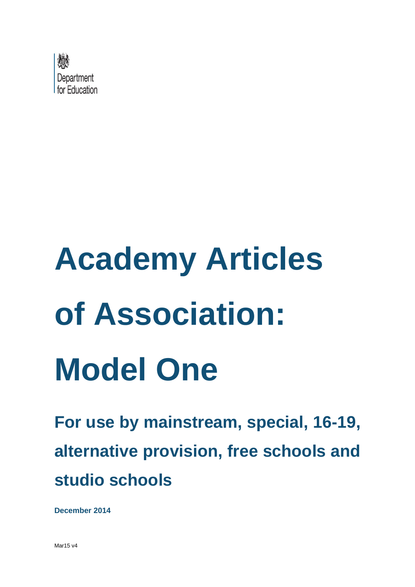

# **Academy Articles of Association: Model One**

**For use by mainstream, special, 16-19, alternative provision, free schools and studio schools**

**December 2014**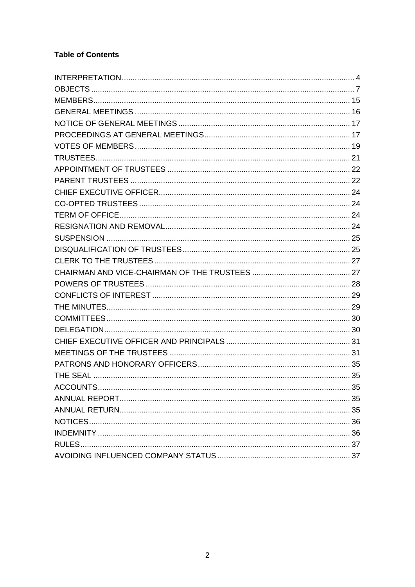# **Table of Contents**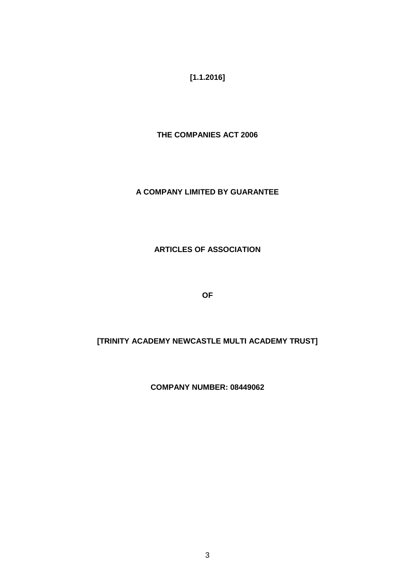**[1.1.2016]** 

**THE COMPANIES ACT 2006**

## **A COMPANY LIMITED BY GUARANTEE**

## **ARTICLES OF ASSOCIATION**

**OF**

## **[TRINITY ACADEMY NEWCASTLE MULTI ACADEMY TRUST]**

## **COMPANY NUMBER: 08449062**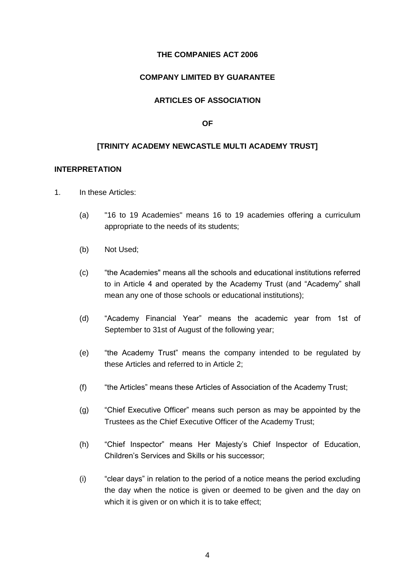#### **THE COMPANIES ACT 2006**

## **COMPANY LIMITED BY GUARANTEE**

## **ARTICLES OF ASSOCIATION**

#### **OF**

#### **[TRINITY ACADEMY NEWCASTLE MULTI ACADEMY TRUST]**

#### <span id="page-3-0"></span>**INTERPRETATION**

- 1. In these Articles:
	- (a) "16 to 19 Academies" means 16 to 19 academies offering a curriculum appropriate to the needs of its students;
	- (b) Not Used;
	- (c) "the Academies" means all the schools and educational institutions referred to in Article 4 and operated by the Academy Trust (and "Academy" shall mean any one of those schools or educational institutions);
	- (d) "Academy Financial Year" means the academic year from 1st of September to 31st of August of the following year;
	- (e) "the Academy Trust" means the company intended to be regulated by these Articles and referred to in Article 2;
	- (f) "the Articles" means these Articles of Association of the Academy Trust;
	- (g) "Chief Executive Officer" means such person as may be appointed by the Trustees as the Chief Executive Officer of the Academy Trust;
	- (h) "Chief Inspector" means Her Majesty's Chief Inspector of Education, Children's Services and Skills or his successor;
	- (i) "clear days" in relation to the period of a notice means the period excluding the day when the notice is given or deemed to be given and the day on which it is given or on which it is to take effect;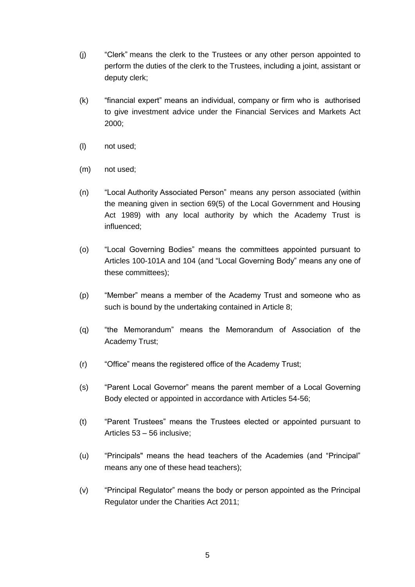- (j) "Clerk" means the clerk to the Trustees or any other person appointed to perform the duties of the clerk to the Trustees, including a joint, assistant or deputy clerk;
- (k) "financial expert" means an individual, company or firm who is authorised to give investment advice under the Financial Services and Markets Act 2000;
- (l) not used;
- (m) not used;
- (n) "Local Authority Associated Person" means any person associated (within the meaning given in section 69(5) of the Local Government and Housing Act 1989) with any local authority by which the Academy Trust is influenced;
- (o) "Local Governing Bodies" means the committees appointed pursuant to Articles 100-101A and 104 (and "Local Governing Body" means any one of these committees);
- (p) "Member" means a member of the Academy Trust and someone who as such is bound by the undertaking contained in Article 8;
- (q) "the Memorandum" means the Memorandum of Association of the Academy Trust;
- (r) "Office" means the registered office of the Academy Trust;
- (s) "Parent Local Governor" means the parent member of a Local Governing Body elected or appointed in accordance with Articles 54-56;
- (t) "Parent Trustees" means the Trustees elected or appointed pursuant to Articles 53 – 56 inclusive;
- (u) "Principals" means the head teachers of the Academies (and "Principal" means any one of these head teachers);
- (v) "Principal Regulator" means the body or person appointed as the Principal Regulator under the Charities Act 2011;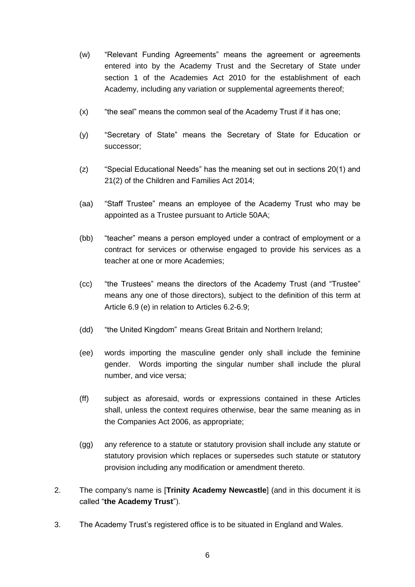- (w) "Relevant Funding Agreements" means the agreement or agreements entered into by the Academy Trust and the Secretary of State under section 1 of the Academies Act 2010 for the establishment of each Academy, including any variation or supplemental agreements thereof;
- (x) "the seal" means the common seal of the Academy Trust if it has one;
- (y) "Secretary of State" means the Secretary of State for Education or successor;
- (z) "Special Educational Needs" has the meaning set out in sections 20(1) and 21(2) of the Children and Families Act 2014;
- (aa) "Staff Trustee" means an employee of the Academy Trust who may be appointed as a Trustee pursuant to Article 50AA;
- (bb) "teacher" means a person employed under a contract of employment or a contract for services or otherwise engaged to provide his services as a teacher at one or more Academies;
- (cc) "the Trustees" means the directors of the Academy Trust (and "Trustee" means any one of those directors), subject to the definition of this term at Article 6.9 (e) in relation to Articles 6.2-6.9;
- (dd) "the United Kingdom" means Great Britain and Northern Ireland;
- (ee) words importing the masculine gender only shall include the feminine gender. Words importing the singular number shall include the plural number, and vice versa;
- (ff) subject as aforesaid, words or expressions contained in these Articles shall, unless the context requires otherwise, bear the same meaning as in the Companies Act 2006, as appropriate;
- (gg) any reference to a statute or statutory provision shall include any statute or statutory provision which replaces or supersedes such statute or statutory provision including any modification or amendment thereto.
- 2. The company's name is [**Trinity Academy Newcastle**] (and in this document it is called "**the Academy Trust**").
- 3. The Academy Trust's registered office is to be situated in England and Wales.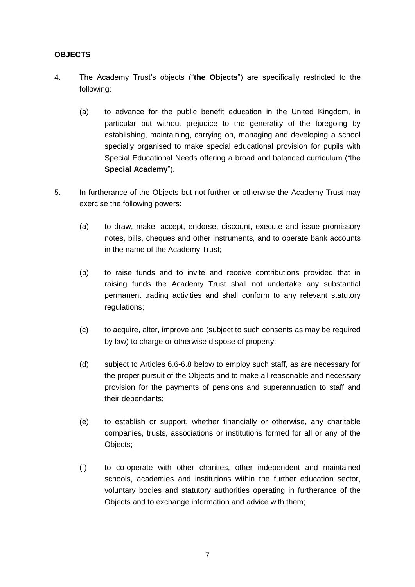## <span id="page-6-0"></span>**OBJECTS**

- 4. The Academy Trust's objects ("**the Objects**") are specifically restricted to the following:
	- (a) to advance for the public benefit education in the United Kingdom, in particular but without prejudice to the generality of the foregoing by establishing, maintaining, carrying on, managing and developing a school specially organised to make special educational provision for pupils with Special Educational Needs offering a broad and balanced curriculum ("the **Special Academy**").
- 5. In furtherance of the Objects but not further or otherwise the Academy Trust may exercise the following powers:
	- (a) to draw, make, accept, endorse, discount, execute and issue promissory notes, bills, cheques and other instruments, and to operate bank accounts in the name of the Academy Trust;
	- (b) to raise funds and to invite and receive contributions provided that in raising funds the Academy Trust shall not undertake any substantial permanent trading activities and shall conform to any relevant statutory regulations;
	- (c) to acquire, alter, improve and (subject to such consents as may be required by law) to charge or otherwise dispose of property;
	- (d) subject to Articles 6.6-6.8 below to employ such staff, as are necessary for the proper pursuit of the Objects and to make all reasonable and necessary provision for the payments of pensions and superannuation to staff and their dependants;
	- (e) to establish or support, whether financially or otherwise, any charitable companies, trusts, associations or institutions formed for all or any of the Objects;
	- (f) to co-operate with other charities, other independent and maintained schools, academies and institutions within the further education sector, voluntary bodies and statutory authorities operating in furtherance of the Objects and to exchange information and advice with them;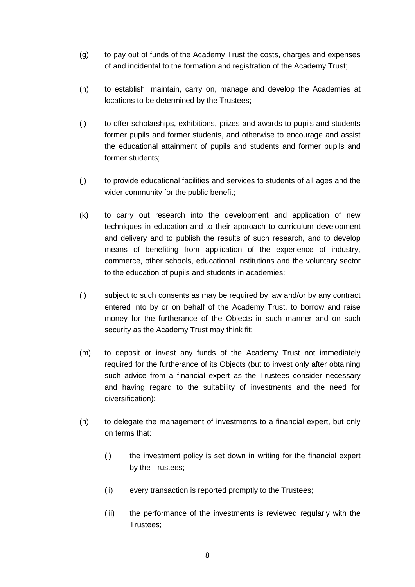- (g) to pay out of funds of the Academy Trust the costs, charges and expenses of and incidental to the formation and registration of the Academy Trust;
- (h) to establish, maintain, carry on, manage and develop the Academies at locations to be determined by the Trustees;
- (i) to offer scholarships, exhibitions, prizes and awards to pupils and students former pupils and former students, and otherwise to encourage and assist the educational attainment of pupils and students and former pupils and former students;
- (j) to provide educational facilities and services to students of all ages and the wider community for the public benefit;
- (k) to carry out research into the development and application of new techniques in education and to their approach to curriculum development and delivery and to publish the results of such research, and to develop means of benefiting from application of the experience of industry, commerce, other schools, educational institutions and the voluntary sector to the education of pupils and students in academies;
- (l) subject to such consents as may be required by law and/or by any contract entered into by or on behalf of the Academy Trust, to borrow and raise money for the furtherance of the Objects in such manner and on such security as the Academy Trust may think fit;
- (m) to deposit or invest any funds of the Academy Trust not immediately required for the furtherance of its Objects (but to invest only after obtaining such advice from a financial expert as the Trustees consider necessary and having regard to the suitability of investments and the need for diversification);
- (n) to delegate the management of investments to a financial expert, but only on terms that:
	- (i) the investment policy is set down in writing for the financial expert by the Trustees;
	- (ii) every transaction is reported promptly to the Trustees;
	- (iii) the performance of the investments is reviewed regularly with the Trustees;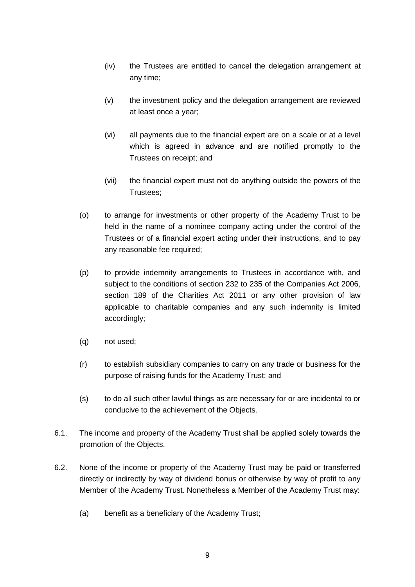- (iv) the Trustees are entitled to cancel the delegation arrangement at any time;
- (v) the investment policy and the delegation arrangement are reviewed at least once a year;
- (vi) all payments due to the financial expert are on a scale or at a level which is agreed in advance and are notified promptly to the Trustees on receipt; and
- (vii) the financial expert must not do anything outside the powers of the Trustees;
- (o) to arrange for investments or other property of the Academy Trust to be held in the name of a nominee company acting under the control of the Trustees or of a financial expert acting under their instructions, and to pay any reasonable fee required;
- (p) to provide indemnity arrangements to Trustees in accordance with, and subject to the conditions of section 232 to 235 of the Companies Act 2006, section 189 of the Charities Act 2011 or any other provision of law applicable to charitable companies and any such indemnity is limited accordingly;
- (q) not used;
- (r) to establish subsidiary companies to carry on any trade or business for the purpose of raising funds for the Academy Trust; and
- (s) to do all such other lawful things as are necessary for or are incidental to or conducive to the achievement of the Objects.
- 6.1. The income and property of the Academy Trust shall be applied solely towards the promotion of the Objects.
- 6.2. None of the income or property of the Academy Trust may be paid or transferred directly or indirectly by way of dividend bonus or otherwise by way of profit to any Member of the Academy Trust. Nonetheless a Member of the Academy Trust may:
	- (a) benefit as a beneficiary of the Academy Trust;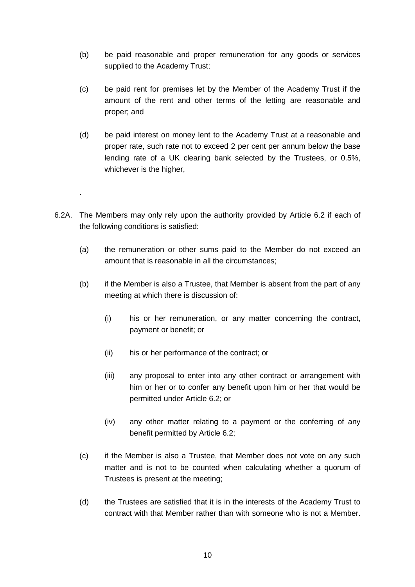- (b) be paid reasonable and proper remuneration for any goods or services supplied to the Academy Trust;
- (c) be paid rent for premises let by the Member of the Academy Trust if the amount of the rent and other terms of the letting are reasonable and proper; and
- (d) be paid interest on money lent to the Academy Trust at a reasonable and proper rate, such rate not to exceed 2 per cent per annum below the base lending rate of a UK clearing bank selected by the Trustees, or 0.5%, whichever is the higher,
- 6.2A. The Members may only rely upon the authority provided by Article 6.2 if each of the following conditions is satisfied:

.

- (a) the remuneration or other sums paid to the Member do not exceed an amount that is reasonable in all the circumstances;
- (b) if the Member is also a Trustee, that Member is absent from the part of any meeting at which there is discussion of:
	- (i) his or her remuneration, or any matter concerning the contract, payment or benefit; or
	- (ii) his or her performance of the contract; or
	- (iii) any proposal to enter into any other contract or arrangement with him or her or to confer any benefit upon him or her that would be permitted under Article 6.2; or
	- (iv) any other matter relating to a payment or the conferring of any benefit permitted by Article 6.2;
- (c) if the Member is also a Trustee, that Member does not vote on any such matter and is not to be counted when calculating whether a quorum of Trustees is present at the meeting;
- (d) the Trustees are satisfied that it is in the interests of the Academy Trust to contract with that Member rather than with someone who is not a Member.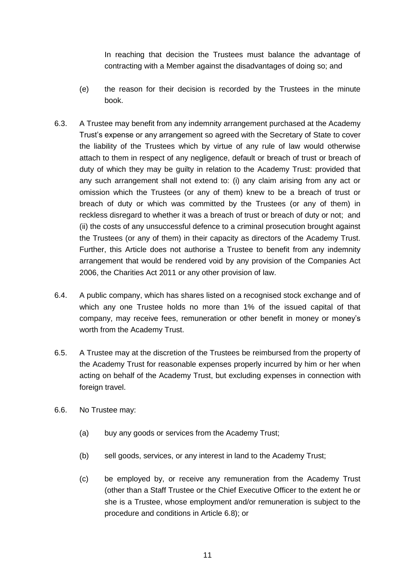In reaching that decision the Trustees must balance the advantage of contracting with a Member against the disadvantages of doing so; and

- (e) the reason for their decision is recorded by the Trustees in the minute book.
- 6.3. A Trustee may benefit from any indemnity arrangement purchased at the Academy Trust's expense or any arrangement so agreed with the Secretary of State to cover the liability of the Trustees which by virtue of any rule of law would otherwise attach to them in respect of any negligence, default or breach of trust or breach of duty of which they may be guilty in relation to the Academy Trust: provided that any such arrangement shall not extend to: (i) any claim arising from any act or omission which the Trustees (or any of them) knew to be a breach of trust or breach of duty or which was committed by the Trustees (or any of them) in reckless disregard to whether it was a breach of trust or breach of duty or not; and (ii) the costs of any unsuccessful defence to a criminal prosecution brought against the Trustees (or any of them) in their capacity as directors of the Academy Trust. Further, this Article does not authorise a Trustee to benefit from any indemnity arrangement that would be rendered void by any provision of the Companies Act 2006, the Charities Act 2011 or any other provision of law.
- 6.4. A public company, which has shares listed on a recognised stock exchange and of which any one Trustee holds no more than 1% of the issued capital of that company, may receive fees, remuneration or other benefit in money or money's worth from the Academy Trust.
- 6.5. A Trustee may at the discretion of the Trustees be reimbursed from the property of the Academy Trust for reasonable expenses properly incurred by him or her when acting on behalf of the Academy Trust, but excluding expenses in connection with foreign travel.
- 6.6. No Trustee may:
	- (a) buy any goods or services from the Academy Trust;
	- (b) sell goods, services, or any interest in land to the Academy Trust;
	- (c) be employed by, or receive any remuneration from the Academy Trust (other than a Staff Trustee or the Chief Executive Officer to the extent he or she is a Trustee, whose employment and/or remuneration is subject to the procedure and conditions in Article 6.8); or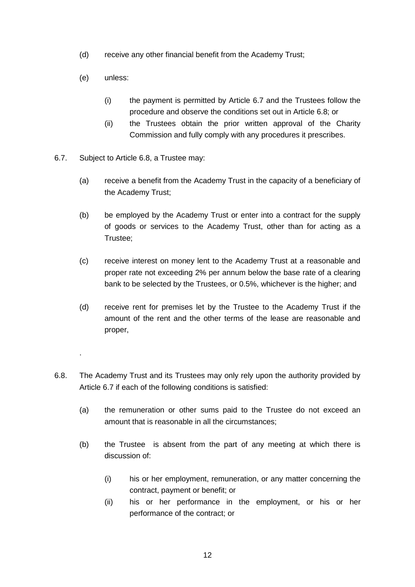- (d) receive any other financial benefit from the Academy Trust;
- (e) unless:

.

- (i) the payment is permitted by Article 6.7 and the Trustees follow the procedure and observe the conditions set out in Article 6.8; or
- (ii) the Trustees obtain the prior written approval of the Charity Commission and fully comply with any procedures it prescribes.
- 6.7. Subject to Article 6.8, a Trustee may:
	- (a) receive a benefit from the Academy Trust in the capacity of a beneficiary of the Academy Trust;
	- (b) be employed by the Academy Trust or enter into a contract for the supply of goods or services to the Academy Trust, other than for acting as a Trustee;
	- (c) receive interest on money lent to the Academy Trust at a reasonable and proper rate not exceeding 2% per annum below the base rate of a clearing bank to be selected by the Trustees, or 0.5%, whichever is the higher; and
	- (d) receive rent for premises let by the Trustee to the Academy Trust if the amount of the rent and the other terms of the lease are reasonable and proper,
- 6.8. The Academy Trust and its Trustees may only rely upon the authority provided by Article 6.7 if each of the following conditions is satisfied:
	- (a) the remuneration or other sums paid to the Trustee do not exceed an amount that is reasonable in all the circumstances;
	- (b) the Trustee is absent from the part of any meeting at which there is discussion of:
		- (i) his or her employment, remuneration, or any matter concerning the contract, payment or benefit; or
		- (ii) his or her performance in the employment, or his or her performance of the contract; or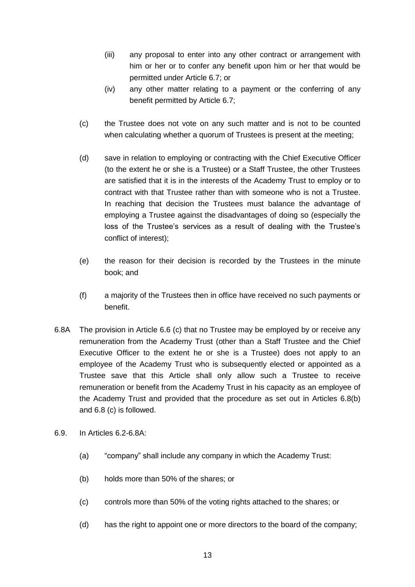- (iii) any proposal to enter into any other contract or arrangement with him or her or to confer any benefit upon him or her that would be permitted under Article 6.7; or
- (iv) any other matter relating to a payment or the conferring of any benefit permitted by Article 6.7;
- (c) the Trustee does not vote on any such matter and is not to be counted when calculating whether a quorum of Trustees is present at the meeting;
- (d) save in relation to employing or contracting with the Chief Executive Officer (to the extent he or she is a Trustee) or a Staff Trustee, the other Trustees are satisfied that it is in the interests of the Academy Trust to employ or to contract with that Trustee rather than with someone who is not a Trustee. In reaching that decision the Trustees must balance the advantage of employing a Trustee against the disadvantages of doing so (especially the loss of the Trustee's services as a result of dealing with the Trustee's conflict of interest);
- (e) the reason for their decision is recorded by the Trustees in the minute book; and
- (f) a majority of the Trustees then in office have received no such payments or benefit.
- 6.8A The provision in Article 6.6 (c) that no Trustee may be employed by or receive any remuneration from the Academy Trust (other than a Staff Trustee and the Chief Executive Officer to the extent he or she is a Trustee) does not apply to an employee of the Academy Trust who is subsequently elected or appointed as a Trustee save that this Article shall only allow such a Trustee to receive remuneration or benefit from the Academy Trust in his capacity as an employee of the Academy Trust and provided that the procedure as set out in Articles 6.8(b) and 6.8 (c) is followed.
- 6.9. In Articles 6.2-6.8A:
	- (a) "company" shall include any company in which the Academy Trust:
	- (b) holds more than 50% of the shares; or
	- (c) controls more than 50% of the voting rights attached to the shares; or
	- (d) has the right to appoint one or more directors to the board of the company;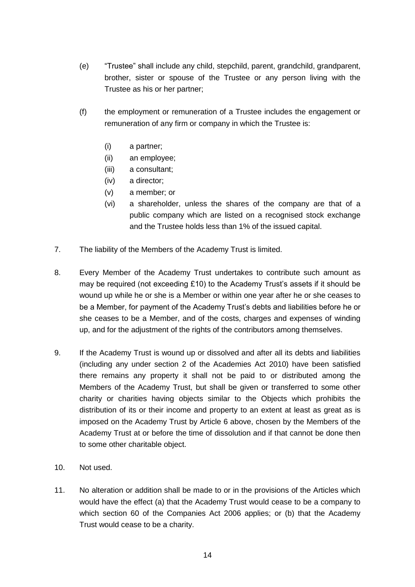- (e) "Trustee" shall include any child, stepchild, parent, grandchild, grandparent, brother, sister or spouse of the Trustee or any person living with the Trustee as his or her partner;
- (f) the employment or remuneration of a Trustee includes the engagement or remuneration of any firm or company in which the Trustee is:
	- (i) a partner;
	- (ii) an employee;
	- (iii) a consultant;
	- (iv) a director;
	- (v) a member; or
	- (vi) a shareholder, unless the shares of the company are that of a public company which are listed on a recognised stock exchange and the Trustee holds less than 1% of the issued capital.
- 7. The liability of the Members of the Academy Trust is limited.
- 8. Every Member of the Academy Trust undertakes to contribute such amount as may be required (not exceeding £10) to the Academy Trust's assets if it should be wound up while he or she is a Member or within one year after he or she ceases to be a Member, for payment of the Academy Trust's debts and liabilities before he or she ceases to be a Member, and of the costs, charges and expenses of winding up, and for the adjustment of the rights of the contributors among themselves.
- 9. If the Academy Trust is wound up or dissolved and after all its debts and liabilities (including any under section 2 of the Academies Act 2010) have been satisfied there remains any property it shall not be paid to or distributed among the Members of the Academy Trust, but shall be given or transferred to some other charity or charities having objects similar to the Objects which prohibits the distribution of its or their income and property to an extent at least as great as is imposed on the Academy Trust by Article 6 above, chosen by the Members of the Academy Trust at or before the time of dissolution and if that cannot be done then to some other charitable object.
- 10. Not used.
- 11. No alteration or addition shall be made to or in the provisions of the Articles which would have the effect (a) that the Academy Trust would cease to be a company to which section 60 of the Companies Act 2006 applies; or (b) that the Academy Trust would cease to be a charity.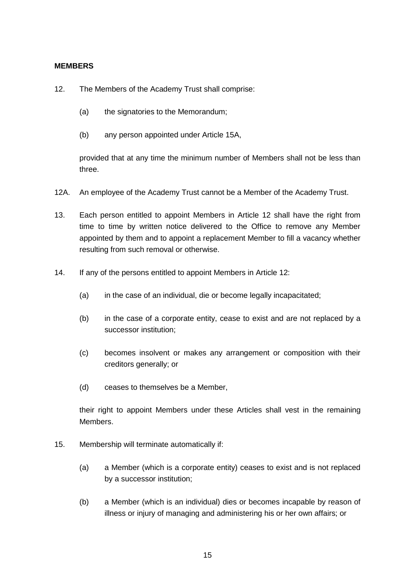#### <span id="page-14-0"></span>**MEMBERS**

- 12. The Members of the Academy Trust shall comprise:
	- (a) the signatories to the Memorandum;
	- (b) any person appointed under Article 15A,

provided that at any time the minimum number of Members shall not be less than three.

- 12A. An employee of the Academy Trust cannot be a Member of the Academy Trust.
- 13. Each person entitled to appoint Members in Article 12 shall have the right from time to time by written notice delivered to the Office to remove any Member appointed by them and to appoint a replacement Member to fill a vacancy whether resulting from such removal or otherwise.
- 14. If any of the persons entitled to appoint Members in Article 12:
	- (a) in the case of an individual, die or become legally incapacitated;
	- (b) in the case of a corporate entity, cease to exist and are not replaced by a successor institution;
	- (c) becomes insolvent or makes any arrangement or composition with their creditors generally; or
	- (d) ceases to themselves be a Member,

their right to appoint Members under these Articles shall vest in the remaining Members.

- 15. Membership will terminate automatically if:
	- (a) a Member (which is a corporate entity) ceases to exist and is not replaced by a successor institution;
	- (b) a Member (which is an individual) dies or becomes incapable by reason of illness or injury of managing and administering his or her own affairs; or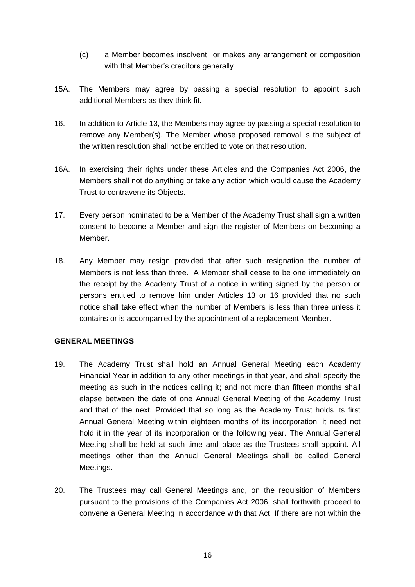- (c) a Member becomes insolvent or makes any arrangement or composition with that Member's creditors generally.
- 15A. The Members may agree by passing a special resolution to appoint such additional Members as they think fit.
- 16. In addition to Article 13, the Members may agree by passing a special resolution to remove any Member(s). The Member whose proposed removal is the subject of the written resolution shall not be entitled to vote on that resolution.
- 16A. In exercising their rights under these Articles and the Companies Act 2006, the Members shall not do anything or take any action which would cause the Academy Trust to contravene its Objects.
- 17. Every person nominated to be a Member of the Academy Trust shall sign a written consent to become a Member and sign the register of Members on becoming a Member.
- 18. Any Member may resign provided that after such resignation the number of Members is not less than three. A Member shall cease to be one immediately on the receipt by the Academy Trust of a notice in writing signed by the person or persons entitled to remove him under Articles 13 or 16 provided that no such notice shall take effect when the number of Members is less than three unless it contains or is accompanied by the appointment of a replacement Member.

## <span id="page-15-0"></span>**GENERAL MEETINGS**

- 19. The Academy Trust shall hold an Annual General Meeting each Academy Financial Year in addition to any other meetings in that year, and shall specify the meeting as such in the notices calling it; and not more than fifteen months shall elapse between the date of one Annual General Meeting of the Academy Trust and that of the next. Provided that so long as the Academy Trust holds its first Annual General Meeting within eighteen months of its incorporation, it need not hold it in the year of its incorporation or the following year. The Annual General Meeting shall be held at such time and place as the Trustees shall appoint. All meetings other than the Annual General Meetings shall be called General Meetings.
- 20. The Trustees may call General Meetings and, on the requisition of Members pursuant to the provisions of the Companies Act 2006, shall forthwith proceed to convene a General Meeting in accordance with that Act. If there are not within the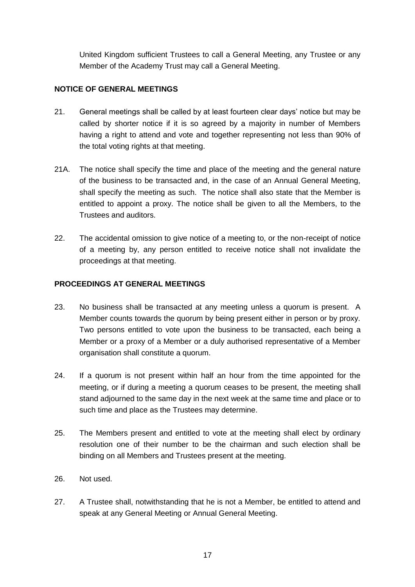United Kingdom sufficient Trustees to call a General Meeting, any Trustee or any Member of the Academy Trust may call a General Meeting.

## <span id="page-16-0"></span>**NOTICE OF GENERAL MEETINGS**

- 21. General meetings shall be called by at least fourteen clear days' notice but may be called by shorter notice if it is so agreed by a majority in number of Members having a right to attend and vote and together representing not less than 90% of the total voting rights at that meeting.
- 21A. The notice shall specify the time and place of the meeting and the general nature of the business to be transacted and, in the case of an Annual General Meeting, shall specify the meeting as such. The notice shall also state that the Member is entitled to appoint a proxy. The notice shall be given to all the Members, to the Trustees and auditors.
- 22. The accidental omission to give notice of a meeting to, or the non-receipt of notice of a meeting by, any person entitled to receive notice shall not invalidate the proceedings at that meeting.

## <span id="page-16-1"></span>**PROCEEDINGS AT GENERAL MEETINGS**

- 23. No business shall be transacted at any meeting unless a quorum is present. A Member counts towards the quorum by being present either in person or by proxy. Two persons entitled to vote upon the business to be transacted, each being a Member or a proxy of a Member or a duly authorised representative of a Member organisation shall constitute a quorum.
- 24. If a quorum is not present within half an hour from the time appointed for the meeting, or if during a meeting a quorum ceases to be present, the meeting shall stand adjourned to the same day in the next week at the same time and place or to such time and place as the Trustees may determine.
- 25. The Members present and entitled to vote at the meeting shall elect by ordinary resolution one of their number to be the chairman and such election shall be binding on all Members and Trustees present at the meeting.
- 26. Not used.
- 27. A Trustee shall, notwithstanding that he is not a Member, be entitled to attend and speak at any General Meeting or Annual General Meeting.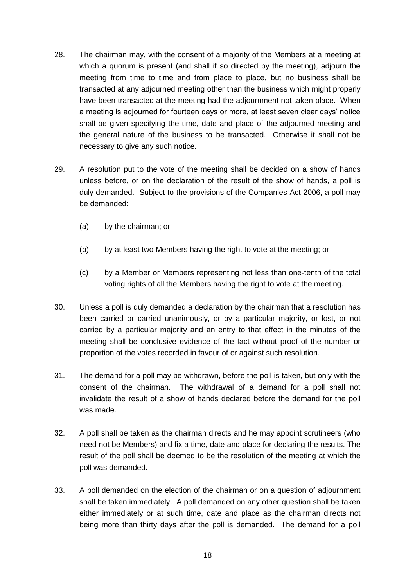- 28. The chairman may, with the consent of a majority of the Members at a meeting at which a quorum is present (and shall if so directed by the meeting), adjourn the meeting from time to time and from place to place, but no business shall be transacted at any adjourned meeting other than the business which might properly have been transacted at the meeting had the adjournment not taken place. When a meeting is adjourned for fourteen days or more, at least seven clear days' notice shall be given specifying the time, date and place of the adjourned meeting and the general nature of the business to be transacted. Otherwise it shall not be necessary to give any such notice.
- 29. A resolution put to the vote of the meeting shall be decided on a show of hands unless before, or on the declaration of the result of the show of hands, a poll is duly demanded. Subject to the provisions of the Companies Act 2006, a poll may be demanded:
	- (a) by the chairman; or
	- (b) by at least two Members having the right to vote at the meeting; or
	- (c) by a Member or Members representing not less than one-tenth of the total voting rights of all the Members having the right to vote at the meeting.
- 30. Unless a poll is duly demanded a declaration by the chairman that a resolution has been carried or carried unanimously, or by a particular majority, or lost, or not carried by a particular majority and an entry to that effect in the minutes of the meeting shall be conclusive evidence of the fact without proof of the number or proportion of the votes recorded in favour of or against such resolution.
- 31. The demand for a poll may be withdrawn, before the poll is taken, but only with the consent of the chairman. The withdrawal of a demand for a poll shall not invalidate the result of a show of hands declared before the demand for the poll was made.
- 32. A poll shall be taken as the chairman directs and he may appoint scrutineers (who need not be Members) and fix a time, date and place for declaring the results. The result of the poll shall be deemed to be the resolution of the meeting at which the poll was demanded.
- 33. A poll demanded on the election of the chairman or on a question of adjournment shall be taken immediately. A poll demanded on any other question shall be taken either immediately or at such time, date and place as the chairman directs not being more than thirty days after the poll is demanded. The demand for a poll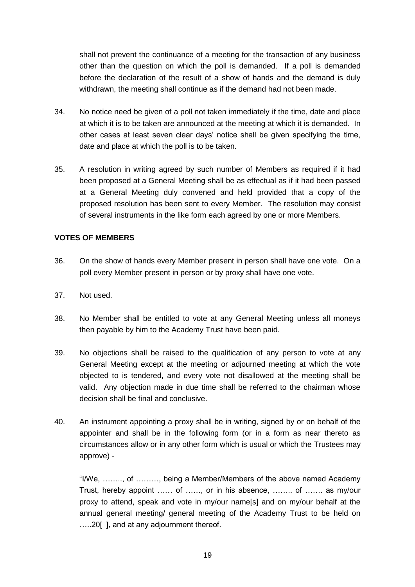shall not prevent the continuance of a meeting for the transaction of any business other than the question on which the poll is demanded. If a poll is demanded before the declaration of the result of a show of hands and the demand is duly withdrawn, the meeting shall continue as if the demand had not been made.

- 34. No notice need be given of a poll not taken immediately if the time, date and place at which it is to be taken are announced at the meeting at which it is demanded. In other cases at least seven clear days' notice shall be given specifying the time, date and place at which the poll is to be taken.
- 35. A resolution in writing agreed by such number of Members as required if it had been proposed at a General Meeting shall be as effectual as if it had been passed at a General Meeting duly convened and held provided that a copy of the proposed resolution has been sent to every Member. The resolution may consist of several instruments in the like form each agreed by one or more Members.

## <span id="page-18-0"></span>**VOTES OF MEMBERS**

- 36. On the show of hands every Member present in person shall have one vote. On a poll every Member present in person or by proxy shall have one vote.
- 37. Not used.
- 38. No Member shall be entitled to vote at any General Meeting unless all moneys then payable by him to the Academy Trust have been paid.
- 39. No objections shall be raised to the qualification of any person to vote at any General Meeting except at the meeting or adjourned meeting at which the vote objected to is tendered, and every vote not disallowed at the meeting shall be valid. Any objection made in due time shall be referred to the chairman whose decision shall be final and conclusive.
- 40. An instrument appointing a proxy shall be in writing, signed by or on behalf of the appointer and shall be in the following form (or in a form as near thereto as circumstances allow or in any other form which is usual or which the Trustees may approve) -

"I/We, …….., of ………, being a Member/Members of the above named Academy Trust, hereby appoint …… of ……, or in his absence, …….. of ……. as my/our proxy to attend, speak and vote in my/our name[s] and on my/our behalf at the annual general meeting/ general meeting of the Academy Trust to be held on …..20[ ], and at any adjournment thereof.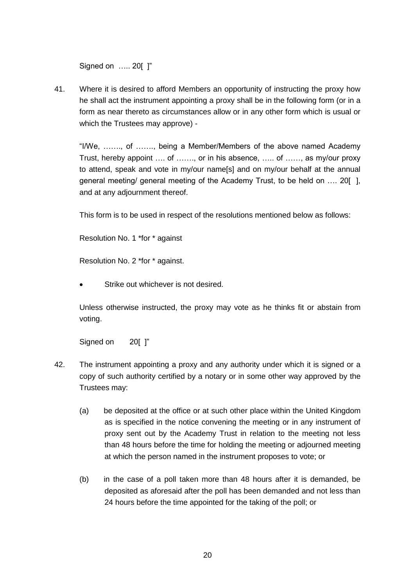Signed on ….. 20[ ]"

41. Where it is desired to afford Members an opportunity of instructing the proxy how he shall act the instrument appointing a proxy shall be in the following form (or in a form as near thereto as circumstances allow or in any other form which is usual or which the Trustees may approve) -

"I/We, ……., of ……., being a Member/Members of the above named Academy Trust, hereby appoint …. of ……., or in his absence, ….. of ……, as my/our proxy to attend, speak and vote in my/our name[s] and on my/our behalf at the annual general meeting/ general meeting of the Academy Trust, to be held on …. 20[ ], and at any adjournment thereof.

This form is to be used in respect of the resolutions mentioned below as follows:

Resolution No. 1 \*for \* against

Resolution No. 2 \*for \* against.

Strike out whichever is not desired.

Unless otherwise instructed, the proxy may vote as he thinks fit or abstain from voting.

Signed on 20[ ]"

- 42. The instrument appointing a proxy and any authority under which it is signed or a copy of such authority certified by a notary or in some other way approved by the Trustees may:
	- (a) be deposited at the office or at such other place within the United Kingdom as is specified in the notice convening the meeting or in any instrument of proxy sent out by the Academy Trust in relation to the meeting not less than 48 hours before the time for holding the meeting or adjourned meeting at which the person named in the instrument proposes to vote; or
	- (b) in the case of a poll taken more than 48 hours after it is demanded, be deposited as aforesaid after the poll has been demanded and not less than 24 hours before the time appointed for the taking of the poll; or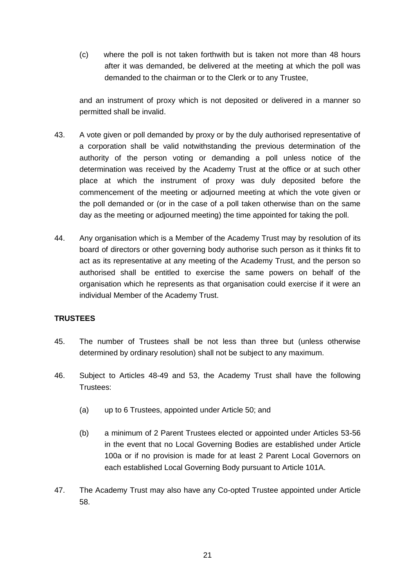(c) where the poll is not taken forthwith but is taken not more than 48 hours after it was demanded, be delivered at the meeting at which the poll was demanded to the chairman or to the Clerk or to any Trustee,

and an instrument of proxy which is not deposited or delivered in a manner so permitted shall be invalid.

- 43. A vote given or poll demanded by proxy or by the duly authorised representative of a corporation shall be valid notwithstanding the previous determination of the authority of the person voting or demanding a poll unless notice of the determination was received by the Academy Trust at the office or at such other place at which the instrument of proxy was duly deposited before the commencement of the meeting or adjourned meeting at which the vote given or the poll demanded or (or in the case of a poll taken otherwise than on the same day as the meeting or adjourned meeting) the time appointed for taking the poll.
- 44. Any organisation which is a Member of the Academy Trust may by resolution of its board of directors or other governing body authorise such person as it thinks fit to act as its representative at any meeting of the Academy Trust, and the person so authorised shall be entitled to exercise the same powers on behalf of the organisation which he represents as that organisation could exercise if it were an individual Member of the Academy Trust.

## <span id="page-20-0"></span>**TRUSTEES**

- 45. The number of Trustees shall be not less than three but (unless otherwise determined by ordinary resolution) shall not be subject to any maximum.
- 46. Subject to Articles 48-49 and 53, the Academy Trust shall have the following Trustees:
	- (a) up to 6 Trustees, appointed under Article 50; and
	- (b) a minimum of 2 Parent Trustees elected or appointed under Articles 53-56 in the event that no Local Governing Bodies are established under Article 100a or if no provision is made for at least 2 Parent Local Governors on each established Local Governing Body pursuant to Article 101A.
- 47. The Academy Trust may also have any Co-opted Trustee appointed under Article 58.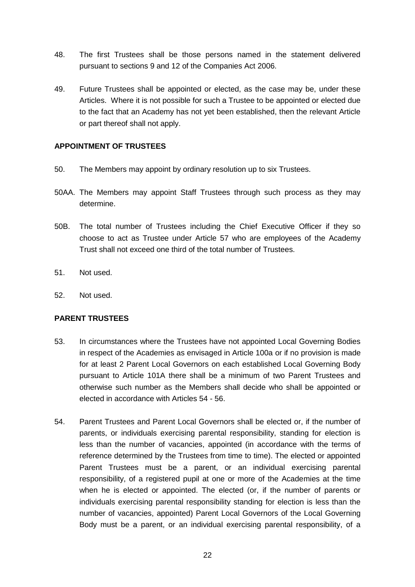- 48. The first Trustees shall be those persons named in the statement delivered pursuant to sections 9 and 12 of the Companies Act 2006.
- 49. Future Trustees shall be appointed or elected, as the case may be, under these Articles. Where it is not possible for such a Trustee to be appointed or elected due to the fact that an Academy has not yet been established, then the relevant Article or part thereof shall not apply.

## <span id="page-21-0"></span>**APPOINTMENT OF TRUSTEES**

- 50. The Members may appoint by ordinary resolution up to six Trustees.
- 50AA. The Members may appoint Staff Trustees through such process as they may determine.
- 50B. The total number of Trustees including the Chief Executive Officer if they so choose to act as Trustee under Article 57 who are employees of the Academy Trust shall not exceed one third of the total number of Trustees.
- 51. Not used.
- 52. Not used.

#### <span id="page-21-1"></span>**PARENT TRUSTEES**

- 53. In circumstances where the Trustees have not appointed Local Governing Bodies in respect of the Academies as envisaged in Article 100a or if no provision is made for at least 2 Parent Local Governors on each established Local Governing Body pursuant to Article 101A there shall be a minimum of two Parent Trustees and otherwise such number as the Members shall decide who shall be appointed or elected in accordance with Articles 54 - 56.
- 54. Parent Trustees and Parent Local Governors shall be elected or, if the number of parents, or individuals exercising parental responsibility, standing for election is less than the number of vacancies, appointed (in accordance with the terms of reference determined by the Trustees from time to time). The elected or appointed Parent Trustees must be a parent, or an individual exercising parental responsibility, of a registered pupil at one or more of the Academies at the time when he is elected or appointed. The elected (or, if the number of parents or individuals exercising parental responsibility standing for election is less than the number of vacancies, appointed) Parent Local Governors of the Local Governing Body must be a parent, or an individual exercising parental responsibility, of a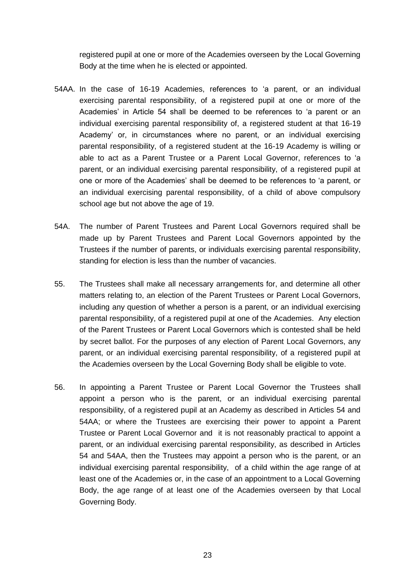registered pupil at one or more of the Academies overseen by the Local Governing Body at the time when he is elected or appointed.

- 54AA. In the case of 16-19 Academies, references to 'a parent, or an individual exercising parental responsibility, of a registered pupil at one or more of the Academies' in Article 54 shall be deemed to be references to 'a parent or an individual exercising parental responsibility of, a registered student at that 16-19 Academy' or, in circumstances where no parent, or an individual exercising parental responsibility, of a registered student at the 16-19 Academy is willing or able to act as a Parent Trustee or a Parent Local Governor, references to 'a parent, or an individual exercising parental responsibility, of a registered pupil at one or more of the Academies' shall be deemed to be references to 'a parent, or an individual exercising parental responsibility, of a child of above compulsory school age but not above the age of 19.
- 54A. The number of Parent Trustees and Parent Local Governors required shall be made up by Parent Trustees and Parent Local Governors appointed by the Trustees if the number of parents, or individuals exercising parental responsibility, standing for election is less than the number of vacancies.
- 55. The Trustees shall make all necessary arrangements for, and determine all other matters relating to, an election of the Parent Trustees or Parent Local Governors, including any question of whether a person is a parent, or an individual exercising parental responsibility, of a registered pupil at one of the Academies. Any election of the Parent Trustees or Parent Local Governors which is contested shall be held by secret ballot. For the purposes of any election of Parent Local Governors, any parent, or an individual exercising parental responsibility, of a registered pupil at the Academies overseen by the Local Governing Body shall be eligible to vote.
- 56. In appointing a Parent Trustee or Parent Local Governor the Trustees shall appoint a person who is the parent, or an individual exercising parental responsibility, of a registered pupil at an Academy as described in Articles 54 and 54AA; or where the Trustees are exercising their power to appoint a Parent Trustee or Parent Local Governor and it is not reasonably practical to appoint a parent, or an individual exercising parental responsibility, as described in Articles 54 and 54AA, then the Trustees may appoint a person who is the parent, or an individual exercising parental responsibility, of a child within the age range of at least one of the Academies or, in the case of an appointment to a Local Governing Body, the age range of at least one of the Academies overseen by that Local Governing Body.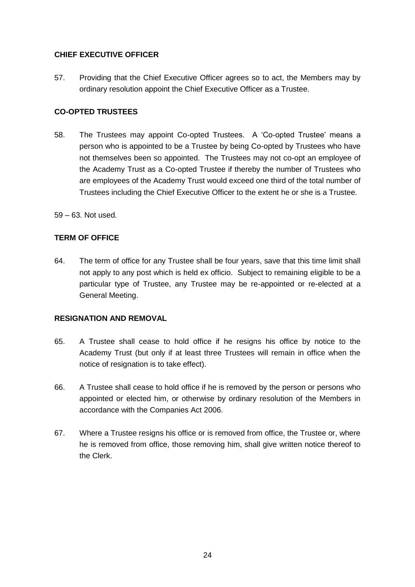## <span id="page-23-0"></span>**CHIEF EXECUTIVE OFFICER**

57. Providing that the Chief Executive Officer agrees so to act, the Members may by ordinary resolution appoint the Chief Executive Officer as a Trustee.

## <span id="page-23-1"></span>**CO-OPTED TRUSTEES**

- 58. The Trustees may appoint Co-opted Trustees. A 'Co-opted Trustee' means a person who is appointed to be a Trustee by being Co-opted by Trustees who have not themselves been so appointed. The Trustees may not co-opt an employee of the Academy Trust as a Co-opted Trustee if thereby the number of Trustees who are employees of the Academy Trust would exceed one third of the total number of Trustees including the Chief Executive Officer to the extent he or she is a Trustee.
- 59 63. Not used.

## <span id="page-23-2"></span>**TERM OF OFFICE**

64. The term of office for any Trustee shall be four years, save that this time limit shall not apply to any post which is held ex officio. Subject to remaining eligible to be a particular type of Trustee, any Trustee may be re-appointed or re-elected at a General Meeting.

#### <span id="page-23-3"></span>**RESIGNATION AND REMOVAL**

- 65. A Trustee shall cease to hold office if he resigns his office by notice to the Academy Trust (but only if at least three Trustees will remain in office when the notice of resignation is to take effect).
- 66. A Trustee shall cease to hold office if he is removed by the person or persons who appointed or elected him, or otherwise by ordinary resolution of the Members in accordance with the Companies Act 2006.
- 67. Where a Trustee resigns his office or is removed from office, the Trustee or, where he is removed from office, those removing him, shall give written notice thereof to the Clerk.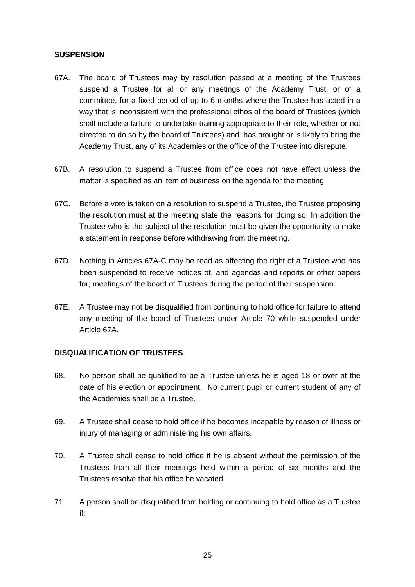#### <span id="page-24-0"></span>**SUSPENSION**

- 67A. The board of Trustees may by resolution passed at a meeting of the Trustees suspend a Trustee for all or any meetings of the Academy Trust, or of a committee, for a fixed period of up to 6 months where the Trustee has acted in a way that is inconsistent with the professional ethos of the board of Trustees (which shall include a failure to undertake training appropriate to their role, whether or not directed to do so by the board of Trustees) and has brought or is likely to bring the Academy Trust, any of its Academies or the office of the Trustee into disrepute.
- 67B. A resolution to suspend a Trustee from office does not have effect unless the matter is specified as an item of business on the agenda for the meeting.
- 67C. Before a vote is taken on a resolution to suspend a Trustee, the Trustee proposing the resolution must at the meeting state the reasons for doing so. In addition the Trustee who is the subject of the resolution must be given the opportunity to make a statement in response before withdrawing from the meeting.
- 67D. Nothing in Articles 67A-C may be read as affecting the right of a Trustee who has been suspended to receive notices of, and agendas and reports or other papers for, meetings of the board of Trustees during the period of their suspension.
- 67E. A Trustee may not be disqualified from continuing to hold office for failure to attend any meeting of the board of Trustees under Article 70 while suspended under Article 67A.

#### <span id="page-24-1"></span>**DISQUALIFICATION OF TRUSTEES**

- 68. No person shall be qualified to be a Trustee unless he is aged 18 or over at the date of his election or appointment. No current pupil or current student of any of the Academies shall be a Trustee.
- 69. A Trustee shall cease to hold office if he becomes incapable by reason of illness or injury of managing or administering his own affairs.
- 70. A Trustee shall cease to hold office if he is absent without the permission of the Trustees from all their meetings held within a period of six months and the Trustees resolve that his office be vacated.
- 71. A person shall be disqualified from holding or continuing to hold office as a Trustee if: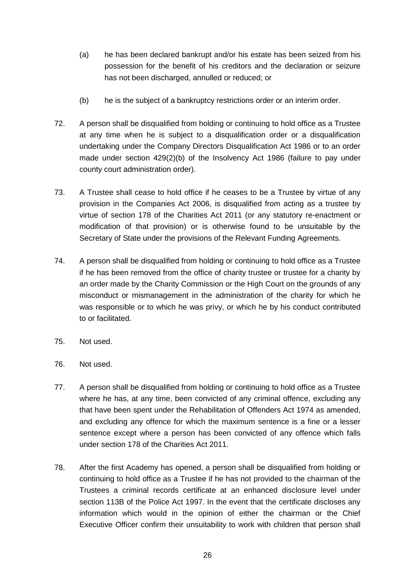- (a) he has been declared bankrupt and/or his estate has been seized from his possession for the benefit of his creditors and the declaration or seizure has not been discharged, annulled or reduced; or
- (b) he is the subject of a bankruptcy restrictions order or an interim order.
- 72. A person shall be disqualified from holding or continuing to hold office as a Trustee at any time when he is subject to a disqualification order or a disqualification undertaking under the Company Directors Disqualification Act 1986 or to an order made under section 429(2)(b) of the Insolvency Act 1986 (failure to pay under county court administration order).
- 73. A Trustee shall cease to hold office if he ceases to be a Trustee by virtue of any provision in the Companies Act 2006, is disqualified from acting as a trustee by virtue of section 178 of the Charities Act 2011 (or any statutory re-enactment or modification of that provision) or is otherwise found to be unsuitable by the Secretary of State under the provisions of the Relevant Funding Agreements.
- 74. A person shall be disqualified from holding or continuing to hold office as a Trustee if he has been removed from the office of charity trustee or trustee for a charity by an order made by the Charity Commission or the High Court on the grounds of any misconduct or mismanagement in the administration of the charity for which he was responsible or to which he was privy, or which he by his conduct contributed to or facilitated.
- 75. Not used.
- 76. Not used.
- 77. A person shall be disqualified from holding or continuing to hold office as a Trustee where he has, at any time, been convicted of any criminal offence, excluding any that have been spent under the Rehabilitation of Offenders Act 1974 as amended, and excluding any offence for which the maximum sentence is a fine or a lesser sentence except where a person has been convicted of any offence which falls under section 178 of the Charities Act 2011.
- 78. After the first Academy has opened, a person shall be disqualified from holding or continuing to hold office as a Trustee if he has not provided to the chairman of the Trustees a criminal records certificate at an enhanced disclosure level under section 113B of the Police Act 1997. In the event that the certificate discloses any information which would in the opinion of either the chairman or the Chief Executive Officer confirm their unsuitability to work with children that person shall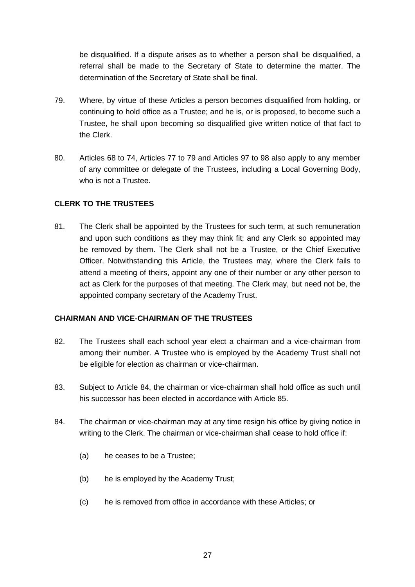be disqualified. If a dispute arises as to whether a person shall be disqualified, a referral shall be made to the Secretary of State to determine the matter. The determination of the Secretary of State shall be final.

- 79. Where, by virtue of these Articles a person becomes disqualified from holding, or continuing to hold office as a Trustee; and he is, or is proposed, to become such a Trustee, he shall upon becoming so disqualified give written notice of that fact to the Clerk.
- 80. Articles 68 to 74, Articles 77 to 79 and Articles 97 to 98 also apply to any member of any committee or delegate of the Trustees, including a Local Governing Body, who is not a Trustee.

## <span id="page-26-0"></span>**CLERK TO THE TRUSTEES**

81. The Clerk shall be appointed by the Trustees for such term, at such remuneration and upon such conditions as they may think fit; and any Clerk so appointed may be removed by them. The Clerk shall not be a Trustee, or the Chief Executive Officer. Notwithstanding this Article, the Trustees may, where the Clerk fails to attend a meeting of theirs, appoint any one of their number or any other person to act as Clerk for the purposes of that meeting. The Clerk may, but need not be, the appointed company secretary of the Academy Trust.

## <span id="page-26-1"></span>**CHAIRMAN AND VICE-CHAIRMAN OF THE TRUSTEES**

- 82. The Trustees shall each school year elect a chairman and a vice-chairman from among their number. A Trustee who is employed by the Academy Trust shall not be eligible for election as chairman or vice-chairman.
- 83. Subject to Article 84, the chairman or vice-chairman shall hold office as such until his successor has been elected in accordance with Article 85.
- 84. The chairman or vice-chairman may at any time resign his office by giving notice in writing to the Clerk. The chairman or vice-chairman shall cease to hold office if:
	- (a) he ceases to be a Trustee;
	- (b) he is employed by the Academy Trust;
	- (c) he is removed from office in accordance with these Articles; or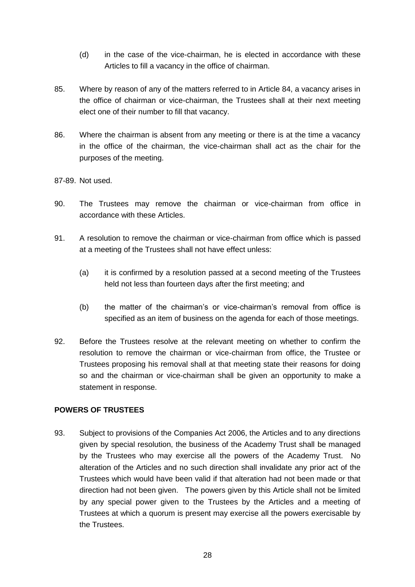- (d) in the case of the vice-chairman, he is elected in accordance with these Articles to fill a vacancy in the office of chairman.
- 85. Where by reason of any of the matters referred to in Article 84, a vacancy arises in the office of chairman or vice-chairman, the Trustees shall at their next meeting elect one of their number to fill that vacancy.
- 86. Where the chairman is absent from any meeting or there is at the time a vacancy in the office of the chairman, the vice-chairman shall act as the chair for the purposes of the meeting.
- 87-89. Not used.
- 90. The Trustees may remove the chairman or vice-chairman from office in accordance with these Articles.
- 91. A resolution to remove the chairman or vice-chairman from office which is passed at a meeting of the Trustees shall not have effect unless:
	- (a) it is confirmed by a resolution passed at a second meeting of the Trustees held not less than fourteen days after the first meeting; and
	- (b) the matter of the chairman's or vice-chairman's removal from office is specified as an item of business on the agenda for each of those meetings.
- 92. Before the Trustees resolve at the relevant meeting on whether to confirm the resolution to remove the chairman or vice-chairman from office, the Trustee or Trustees proposing his removal shall at that meeting state their reasons for doing so and the chairman or vice-chairman shall be given an opportunity to make a statement in response.

## <span id="page-27-0"></span>**POWERS OF TRUSTEES**

93. Subject to provisions of the Companies Act 2006, the Articles and to any directions given by special resolution, the business of the Academy Trust shall be managed by the Trustees who may exercise all the powers of the Academy Trust. No alteration of the Articles and no such direction shall invalidate any prior act of the Trustees which would have been valid if that alteration had not been made or that direction had not been given. The powers given by this Article shall not be limited by any special power given to the Trustees by the Articles and a meeting of Trustees at which a quorum is present may exercise all the powers exercisable by the Trustees.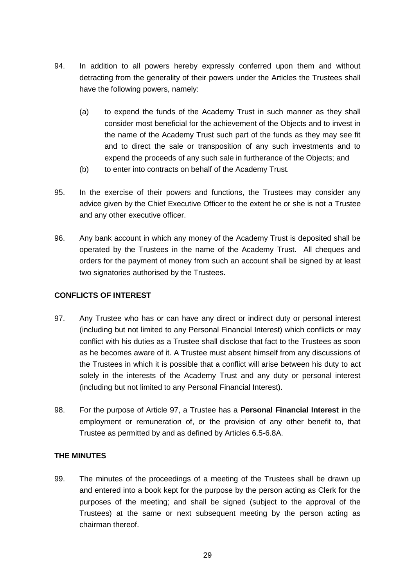- 94. In addition to all powers hereby expressly conferred upon them and without detracting from the generality of their powers under the Articles the Trustees shall have the following powers, namely:
	- (a) to expend the funds of the Academy Trust in such manner as they shall consider most beneficial for the achievement of the Objects and to invest in the name of the Academy Trust such part of the funds as they may see fit and to direct the sale or transposition of any such investments and to expend the proceeds of any such sale in furtherance of the Objects; and
	- (b) to enter into contracts on behalf of the Academy Trust.
- 95. In the exercise of their powers and functions, the Trustees may consider any advice given by the Chief Executive Officer to the extent he or she is not a Trustee and any other executive officer.
- 96. Any bank account in which any money of the Academy Trust is deposited shall be operated by the Trustees in the name of the Academy Trust. All cheques and orders for the payment of money from such an account shall be signed by at least two signatories authorised by the Trustees.

## <span id="page-28-0"></span>**CONFLICTS OF INTEREST**

- 97. Any Trustee who has or can have any direct or indirect duty or personal interest (including but not limited to any Personal Financial Interest) which conflicts or may conflict with his duties as a Trustee shall disclose that fact to the Trustees as soon as he becomes aware of it. A Trustee must absent himself from any discussions of the Trustees in which it is possible that a conflict will arise between his duty to act solely in the interests of the Academy Trust and any duty or personal interest (including but not limited to any Personal Financial Interest).
- 98. For the purpose of Article 97, a Trustee has a **Personal Financial Interest** in the employment or remuneration of, or the provision of any other benefit to, that Trustee as permitted by and as defined by Articles 6.5-6.8A.

## <span id="page-28-1"></span>**THE MINUTES**

99. The minutes of the proceedings of a meeting of the Trustees shall be drawn up and entered into a book kept for the purpose by the person acting as Clerk for the purposes of the meeting; and shall be signed (subject to the approval of the Trustees) at the same or next subsequent meeting by the person acting as chairman thereof.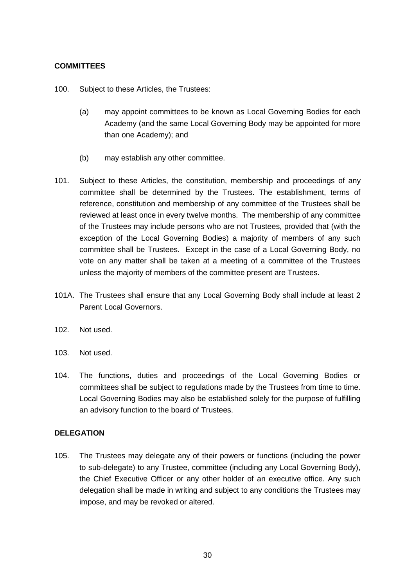## <span id="page-29-0"></span>**COMMITTEES**

100. Subject to these Articles, the Trustees:

- (a) may appoint committees to be known as Local Governing Bodies for each Academy (and the same Local Governing Body may be appointed for more than one Academy); and
- (b) may establish any other committee.
- 101. Subject to these Articles, the constitution, membership and proceedings of any committee shall be determined by the Trustees. The establishment, terms of reference, constitution and membership of any committee of the Trustees shall be reviewed at least once in every twelve months. The membership of any committee of the Trustees may include persons who are not Trustees, provided that (with the exception of the Local Governing Bodies) a majority of members of any such committee shall be Trustees. Except in the case of a Local Governing Body, no vote on any matter shall be taken at a meeting of a committee of the Trustees unless the majority of members of the committee present are Trustees.
- 101A. The Trustees shall ensure that any Local Governing Body shall include at least 2 Parent Local Governors.
- 102. Not used.
- 103. Not used.
- 104. The functions, duties and proceedings of the Local Governing Bodies or committees shall be subject to regulations made by the Trustees from time to time. Local Governing Bodies may also be established solely for the purpose of fulfilling an advisory function to the board of Trustees.

#### <span id="page-29-1"></span>**DELEGATION**

105. The Trustees may delegate any of their powers or functions (including the power to sub-delegate) to any Trustee, committee (including any Local Governing Body), the Chief Executive Officer or any other holder of an executive office. Any such delegation shall be made in writing and subject to any conditions the Trustees may impose, and may be revoked or altered.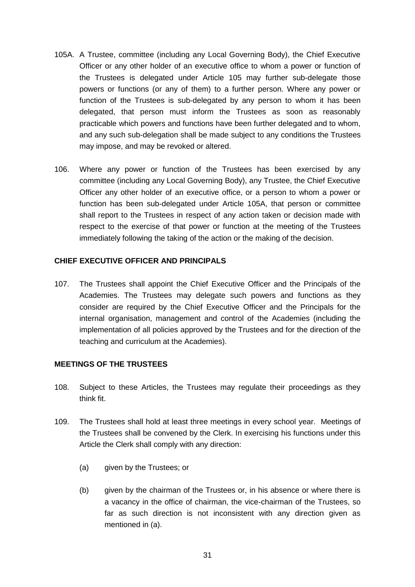- 105A. A Trustee, committee (including any Local Governing Body), the Chief Executive Officer or any other holder of an executive office to whom a power or function of the Trustees is delegated under Article 105 may further sub-delegate those powers or functions (or any of them) to a further person. Where any power or function of the Trustees is sub-delegated by any person to whom it has been delegated, that person must inform the Trustees as soon as reasonably practicable which powers and functions have been further delegated and to whom, and any such sub-delegation shall be made subject to any conditions the Trustees may impose, and may be revoked or altered.
- 106. Where any power or function of the Trustees has been exercised by any committee (including any Local Governing Body), any Trustee, the Chief Executive Officer any other holder of an executive office, or a person to whom a power or function has been sub-delegated under Article 105A, that person or committee shall report to the Trustees in respect of any action taken or decision made with respect to the exercise of that power or function at the meeting of the Trustees immediately following the taking of the action or the making of the decision.

## <span id="page-30-0"></span>**CHIEF EXECUTIVE OFFICER AND PRINCIPALS**

107. The Trustees shall appoint the Chief Executive Officer and the Principals of the Academies. The Trustees may delegate such powers and functions as they consider are required by the Chief Executive Officer and the Principals for the internal organisation, management and control of the Academies (including the implementation of all policies approved by the Trustees and for the direction of the teaching and curriculum at the Academies).

#### <span id="page-30-1"></span>**MEETINGS OF THE TRUSTEES**

- 108. Subject to these Articles, the Trustees may regulate their proceedings as they think fit.
- 109. The Trustees shall hold at least three meetings in every school year. Meetings of the Trustees shall be convened by the Clerk. In exercising his functions under this Article the Clerk shall comply with any direction:
	- (a) given by the Trustees; or
	- (b) given by the chairman of the Trustees or, in his absence or where there is a vacancy in the office of chairman, the vice-chairman of the Trustees, so far as such direction is not inconsistent with any direction given as mentioned in (a).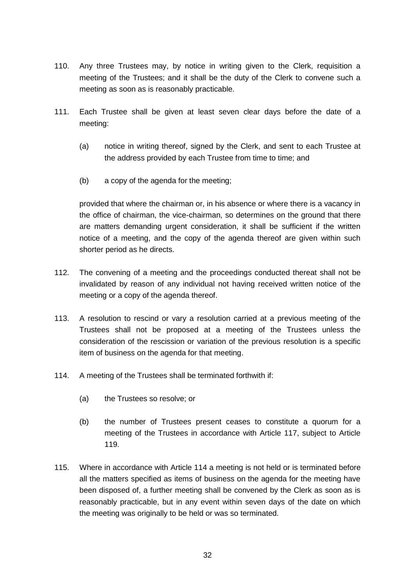- 110. Any three Trustees may, by notice in writing given to the Clerk, requisition a meeting of the Trustees; and it shall be the duty of the Clerk to convene such a meeting as soon as is reasonably practicable.
- 111. Each Trustee shall be given at least seven clear days before the date of a meeting:
	- (a) notice in writing thereof, signed by the Clerk, and sent to each Trustee at the address provided by each Trustee from time to time; and
	- (b) a copy of the agenda for the meeting;

provided that where the chairman or, in his absence or where there is a vacancy in the office of chairman, the vice-chairman, so determines on the ground that there are matters demanding urgent consideration, it shall be sufficient if the written notice of a meeting, and the copy of the agenda thereof are given within such shorter period as he directs.

- 112. The convening of a meeting and the proceedings conducted thereat shall not be invalidated by reason of any individual not having received written notice of the meeting or a copy of the agenda thereof.
- 113. A resolution to rescind or vary a resolution carried at a previous meeting of the Trustees shall not be proposed at a meeting of the Trustees unless the consideration of the rescission or variation of the previous resolution is a specific item of business on the agenda for that meeting.
- 114. A meeting of the Trustees shall be terminated forthwith if:
	- (a) the Trustees so resolve; or
	- (b) the number of Trustees present ceases to constitute a quorum for a meeting of the Trustees in accordance with Article 117, subject to Article 119.
- 115. Where in accordance with Article 114 a meeting is not held or is terminated before all the matters specified as items of business on the agenda for the meeting have been disposed of, a further meeting shall be convened by the Clerk as soon as is reasonably practicable, but in any event within seven days of the date on which the meeting was originally to be held or was so terminated.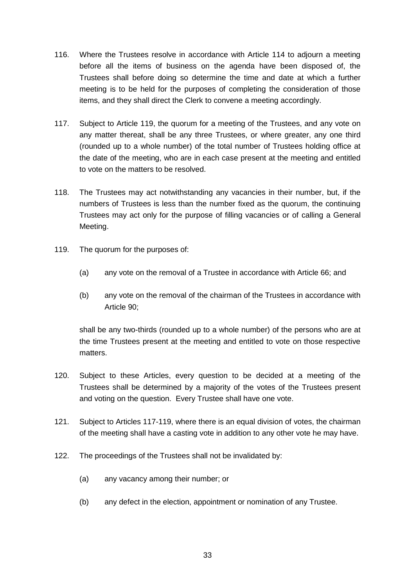- 116. Where the Trustees resolve in accordance with Article 114 to adjourn a meeting before all the items of business on the agenda have been disposed of, the Trustees shall before doing so determine the time and date at which a further meeting is to be held for the purposes of completing the consideration of those items, and they shall direct the Clerk to convene a meeting accordingly.
- 117. Subject to Article 119, the quorum for a meeting of the Trustees, and any vote on any matter thereat, shall be any three Trustees, or where greater, any one third (rounded up to a whole number) of the total number of Trustees holding office at the date of the meeting, who are in each case present at the meeting and entitled to vote on the matters to be resolved.
- 118. The Trustees may act notwithstanding any vacancies in their number, but, if the numbers of Trustees is less than the number fixed as the quorum, the continuing Trustees may act only for the purpose of filling vacancies or of calling a General Meeting.
- 119. The quorum for the purposes of:
	- (a) any vote on the removal of a Trustee in accordance with Article 66; and
	- (b) any vote on the removal of the chairman of the Trustees in accordance with Article 90;

shall be any two-thirds (rounded up to a whole number) of the persons who are at the time Trustees present at the meeting and entitled to vote on those respective matters.

- 120. Subject to these Articles, every question to be decided at a meeting of the Trustees shall be determined by a majority of the votes of the Trustees present and voting on the question. Every Trustee shall have one vote.
- 121. Subject to Articles 117-119, where there is an equal division of votes, the chairman of the meeting shall have a casting vote in addition to any other vote he may have.
- 122. The proceedings of the Trustees shall not be invalidated by:
	- (a) any vacancy among their number; or
	- (b) any defect in the election, appointment or nomination of any Trustee.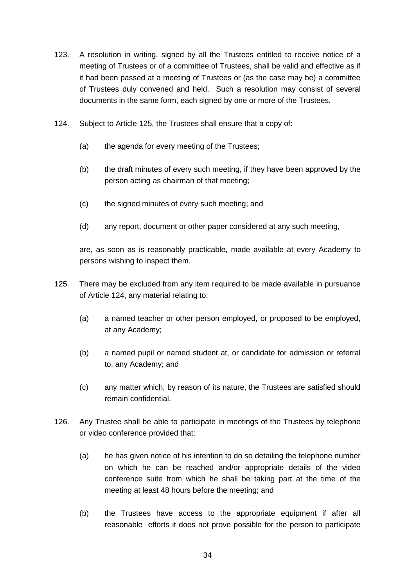- 123. A resolution in writing, signed by all the Trustees entitled to receive notice of a meeting of Trustees or of a committee of Trustees, shall be valid and effective as if it had been passed at a meeting of Trustees or (as the case may be) a committee of Trustees duly convened and held. Such a resolution may consist of several documents in the same form, each signed by one or more of the Trustees.
- 124. Subject to Article 125, the Trustees shall ensure that a copy of:
	- (a) the agenda for every meeting of the Trustees;
	- (b) the draft minutes of every such meeting, if they have been approved by the person acting as chairman of that meeting;
	- (c) the signed minutes of every such meeting; and
	- (d) any report, document or other paper considered at any such meeting,

are, as soon as is reasonably practicable, made available at every Academy to persons wishing to inspect them.

- 125. There may be excluded from any item required to be made available in pursuance of Article 124, any material relating to:
	- (a) a named teacher or other person employed, or proposed to be employed, at any Academy;
	- (b) a named pupil or named student at, or candidate for admission or referral to, any Academy; and
	- (c) any matter which, by reason of its nature, the Trustees are satisfied should remain confidential.
- 126. Any Trustee shall be able to participate in meetings of the Trustees by telephone or video conference provided that:
	- (a) he has given notice of his intention to do so detailing the telephone number on which he can be reached and/or appropriate details of the video conference suite from which he shall be taking part at the time of the meeting at least 48 hours before the meeting; and
	- (b) the Trustees have access to the appropriate equipment if after all reasonable efforts it does not prove possible for the person to participate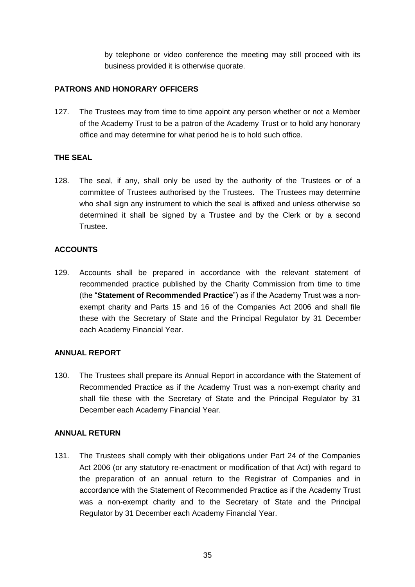by telephone or video conference the meeting may still proceed with its business provided it is otherwise quorate.

## <span id="page-34-0"></span>**PATRONS AND HONORARY OFFICERS**

127. The Trustees may from time to time appoint any person whether or not a Member of the Academy Trust to be a patron of the Academy Trust or to hold any honorary office and may determine for what period he is to hold such office.

## <span id="page-34-1"></span>**THE SEAL**

128. The seal, if any, shall only be used by the authority of the Trustees or of a committee of Trustees authorised by the Trustees. The Trustees may determine who shall sign any instrument to which the seal is affixed and unless otherwise so determined it shall be signed by a Trustee and by the Clerk or by a second Trustee.

## <span id="page-34-2"></span>**ACCOUNTS**

129. Accounts shall be prepared in accordance with the relevant statement of recommended practice published by the Charity Commission from time to time (the "**Statement of Recommended Practice**") as if the Academy Trust was a nonexempt charity and Parts 15 and 16 of the Companies Act 2006 and shall file these with the Secretary of State and the Principal Regulator by 31 December each Academy Financial Year.

#### <span id="page-34-3"></span>**ANNUAL REPORT**

130. The Trustees shall prepare its Annual Report in accordance with the Statement of Recommended Practice as if the Academy Trust was a non-exempt charity and shall file these with the Secretary of State and the Principal Regulator by 31 December each Academy Financial Year.

#### <span id="page-34-4"></span>**ANNUAL RETURN**

131. The Trustees shall comply with their obligations under Part 24 of the Companies Act 2006 (or any statutory re-enactment or modification of that Act) with regard to the preparation of an annual return to the Registrar of Companies and in accordance with the Statement of Recommended Practice as if the Academy Trust was a non-exempt charity and to the Secretary of State and the Principal Regulator by 31 December each Academy Financial Year.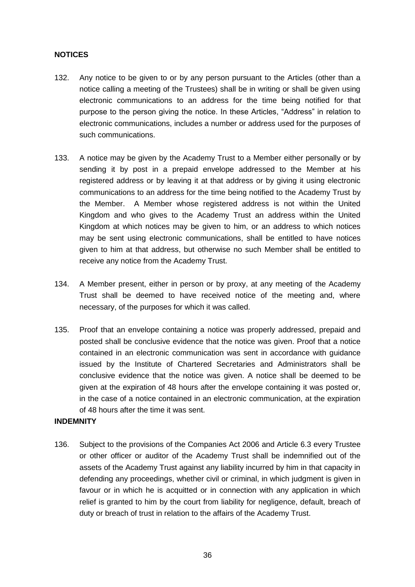## <span id="page-35-0"></span>**NOTICES**

- 132. Any notice to be given to or by any person pursuant to the Articles (other than a notice calling a meeting of the Trustees) shall be in writing or shall be given using electronic communications to an address for the time being notified for that purpose to the person giving the notice. In these Articles, "Address" in relation to electronic communications, includes a number or address used for the purposes of such communications.
- 133. A notice may be given by the Academy Trust to a Member either personally or by sending it by post in a prepaid envelope addressed to the Member at his registered address or by leaving it at that address or by giving it using electronic communications to an address for the time being notified to the Academy Trust by the Member. A Member whose registered address is not within the United Kingdom and who gives to the Academy Trust an address within the United Kingdom at which notices may be given to him, or an address to which notices may be sent using electronic communications, shall be entitled to have notices given to him at that address, but otherwise no such Member shall be entitled to receive any notice from the Academy Trust.
- 134. A Member present, either in person or by proxy, at any meeting of the Academy Trust shall be deemed to have received notice of the meeting and, where necessary, of the purposes for which it was called.
- 135. Proof that an envelope containing a notice was properly addressed, prepaid and posted shall be conclusive evidence that the notice was given. Proof that a notice contained in an electronic communication was sent in accordance with guidance issued by the Institute of Chartered Secretaries and Administrators shall be conclusive evidence that the notice was given. A notice shall be deemed to be given at the expiration of 48 hours after the envelope containing it was posted or, in the case of a notice contained in an electronic communication, at the expiration of 48 hours after the time it was sent.

#### <span id="page-35-1"></span>**INDEMNITY**

136. Subject to the provisions of the Companies Act 2006 and Article 6.3 every Trustee or other officer or auditor of the Academy Trust shall be indemnified out of the assets of the Academy Trust against any liability incurred by him in that capacity in defending any proceedings, whether civil or criminal, in which judgment is given in favour or in which he is acquitted or in connection with any application in which relief is granted to him by the court from liability for negligence, default, breach of duty or breach of trust in relation to the affairs of the Academy Trust.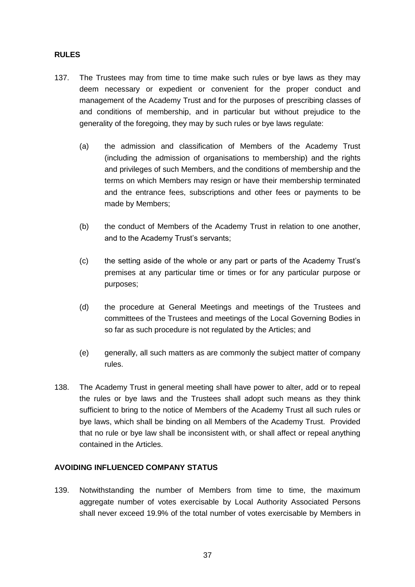#### <span id="page-36-0"></span>**RULES**

- 137. The Trustees may from time to time make such rules or bye laws as they may deem necessary or expedient or convenient for the proper conduct and management of the Academy Trust and for the purposes of prescribing classes of and conditions of membership, and in particular but without prejudice to the generality of the foregoing, they may by such rules or bye laws regulate:
	- (a) the admission and classification of Members of the Academy Trust (including the admission of organisations to membership) and the rights and privileges of such Members, and the conditions of membership and the terms on which Members may resign or have their membership terminated and the entrance fees, subscriptions and other fees or payments to be made by Members;
	- (b) the conduct of Members of the Academy Trust in relation to one another, and to the Academy Trust's servants;
	- (c) the setting aside of the whole or any part or parts of the Academy Trust's premises at any particular time or times or for any particular purpose or purposes;
	- (d) the procedure at General Meetings and meetings of the Trustees and committees of the Trustees and meetings of the Local Governing Bodies in so far as such procedure is not regulated by the Articles; and
	- (e) generally, all such matters as are commonly the subject matter of company rules.
- 138. The Academy Trust in general meeting shall have power to alter, add or to repeal the rules or bye laws and the Trustees shall adopt such means as they think sufficient to bring to the notice of Members of the Academy Trust all such rules or bye laws, which shall be binding on all Members of the Academy Trust. Provided that no rule or bye law shall be inconsistent with, or shall affect or repeal anything contained in the Articles.

#### <span id="page-36-1"></span>**AVOIDING INFLUENCED COMPANY STATUS**

139. Notwithstanding the number of Members from time to time, the maximum aggregate number of votes exercisable by Local Authority Associated Persons shall never exceed 19.9% of the total number of votes exercisable by Members in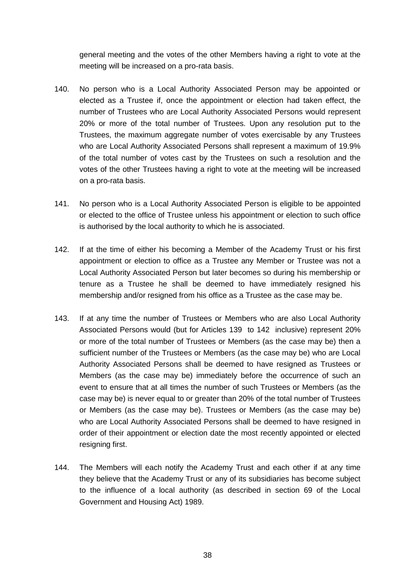general meeting and the votes of the other Members having a right to vote at the meeting will be increased on a pro-rata basis.

- 140. No person who is a Local Authority Associated Person may be appointed or elected as a Trustee if, once the appointment or election had taken effect, the number of Trustees who are Local Authority Associated Persons would represent 20% or more of the total number of Trustees. Upon any resolution put to the Trustees, the maximum aggregate number of votes exercisable by any Trustees who are Local Authority Associated Persons shall represent a maximum of 19.9% of the total number of votes cast by the Trustees on such a resolution and the votes of the other Trustees having a right to vote at the meeting will be increased on a pro-rata basis.
- 141. No person who is a Local Authority Associated Person is eligible to be appointed or elected to the office of Trustee unless his appointment or election to such office is authorised by the local authority to which he is associated.
- 142. If at the time of either his becoming a Member of the Academy Trust or his first appointment or election to office as a Trustee any Member or Trustee was not a Local Authority Associated Person but later becomes so during his membership or tenure as a Trustee he shall be deemed to have immediately resigned his membership and/or resigned from his office as a Trustee as the case may be.
- 143. If at any time the number of Trustees or Members who are also Local Authority Associated Persons would (but for Articles 139 to 142 inclusive) represent 20% or more of the total number of Trustees or Members (as the case may be) then a sufficient number of the Trustees or Members (as the case may be) who are Local Authority Associated Persons shall be deemed to have resigned as Trustees or Members (as the case may be) immediately before the occurrence of such an event to ensure that at all times the number of such Trustees or Members (as the case may be) is never equal to or greater than 20% of the total number of Trustees or Members (as the case may be). Trustees or Members (as the case may be) who are Local Authority Associated Persons shall be deemed to have resigned in order of their appointment or election date the most recently appointed or elected resigning first.
- 144. The Members will each notify the Academy Trust and each other if at any time they believe that the Academy Trust or any of its subsidiaries has become subject to the influence of a local authority (as described in section 69 of the Local Government and Housing Act) 1989.